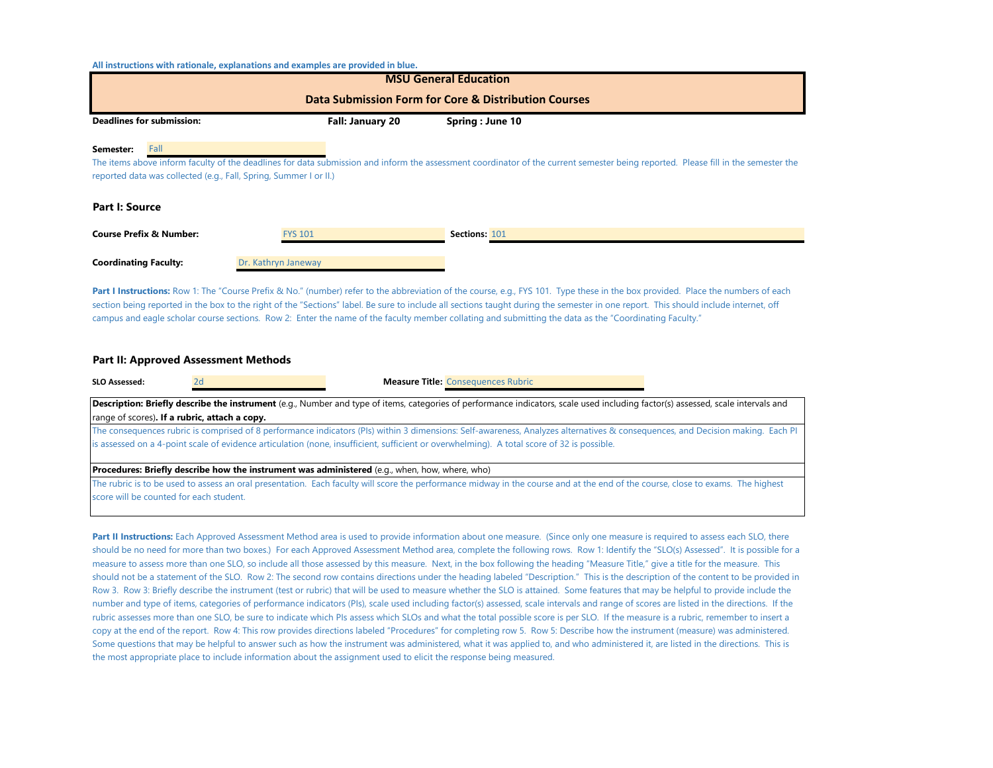**All instructions with rationale, explanations and examples are provided in blue.**

| <b>MSU General Education</b>                                                                                                                                                                                                                                                |                     |                 |  |  |  |  |  |  |  |
|-----------------------------------------------------------------------------------------------------------------------------------------------------------------------------------------------------------------------------------------------------------------------------|---------------------|-----------------|--|--|--|--|--|--|--|
| Data Submission Form for Core & Distribution Courses                                                                                                                                                                                                                        |                     |                 |  |  |  |  |  |  |  |
| <b>Deadlines for submission:</b>                                                                                                                                                                                                                                            | Fall: January 20    | Spring: June 10 |  |  |  |  |  |  |  |
| Fall<br>Semester:<br>The items above inform faculty of the deadlines for data submission and inform the assessment coordinator of the current semester being reported. Please fill in the semester the<br>reported data was collected (e.g., Fall, Spring, Summer I or II.) |                     |                 |  |  |  |  |  |  |  |
| <b>Part I: Source</b>                                                                                                                                                                                                                                                       |                     |                 |  |  |  |  |  |  |  |
| <b>Course Prefix &amp; Number:</b>                                                                                                                                                                                                                                          | <b>FYS 101</b>      | Sections: 101   |  |  |  |  |  |  |  |
| <b>Coordinating Faculty:</b>                                                                                                                                                                                                                                                | Dr. Kathryn Janeway |                 |  |  |  |  |  |  |  |

Part I Instructions: Row 1: The "Course Prefix & No." (number) refer to the abbreviation of the course, e.g., FYS 101. Type these in the box provided. Place the numbers of each section being reported in the box to the right of the "Sections" label. Be sure to include all sections taught during the semester in one report. This should include internet, off campus and eagle scholar course sections. Row 2: Enter the name of the faculty member collating and submitting the data as the "Coordinating Faculty."

## **Part II: Approved Assessment Methods**

| SLO Assessed: |                                               | <b>Measure Title: Consequences Rubric</b>                                                                                                                                                                                                                                                                                    |  |
|---------------|-----------------------------------------------|------------------------------------------------------------------------------------------------------------------------------------------------------------------------------------------------------------------------------------------------------------------------------------------------------------------------------|--|
|               | range of scores). If a rubric, attach a copy. | <b>Description: Briefly describe the instrument</b> (e.g., Number and type of items, categories of performance indicators, scale used including factor(s) assessed, scale intervals and                                                                                                                                      |  |
|               |                                               | The consequences rubric is comprised of 8 performance indicators (PIs) within 3 dimensions: Self-awareness, Analyzes alternatives & consequences, and Decision making. Each PI<br>is assessed on a 4-point scale of evidence articulation (none, insufficient, sufficient or overwhelming). A total score of 32 is possible. |  |
|               |                                               | <b>Procedures: Briefly describe how the instrument was administered</b> (e.g., when, how, where, who)                                                                                                                                                                                                                        |  |
|               | score will be counted for each student.       | The rubric is to be used to assess an oral presentation. Each faculty will score the performance midway in the course and at the end of the course, close to exams. The highest                                                                                                                                              |  |

Part II Instructions: Each Approved Assessment Method area is used to provide information about one measure. (Since only one measure is required to assess each SLO, there should be no need for more than two boxes.) For each Approved Assessment Method area, complete the following rows. Row 1: Identify the "SLO(s) Assessed". It is possible for a measure to assess more than one SLO, so include all those assessed by this measure. Next, in the box following the heading "Measure Title," give a title for the measure. This should not be a statement of the SLO. Row 2: The second row contains directions under the heading labeled "Description." This is the description of the content to be provided in Row 3. Row 3: Briefly describe the instrument (test or rubric) that will be used to measure whether the SLO is attained. Some features that may be helpful to provide include the number and type of items, categories of performance indicators (PIs), scale used including factor(s) assessed, scale intervals and range of scores are listed in the directions. If the rubric assesses more than one SLO, be sure to indicate which PIs assess which SLOs and what the total possible score is per SLO. If the measure is a rubric, remember to insert a copy at the end of the report. Row 4: This row provides directions labeled "Procedures" for completing row 5. Row 5: Describe how the instrument (measure) was administered. Some questions that may be helpful to answer such as how the instrument was administered, what it was applied to, and who administered it, are listed in the directions. This is the most appropriate place to include information about the assignment used to elicit the response being measured.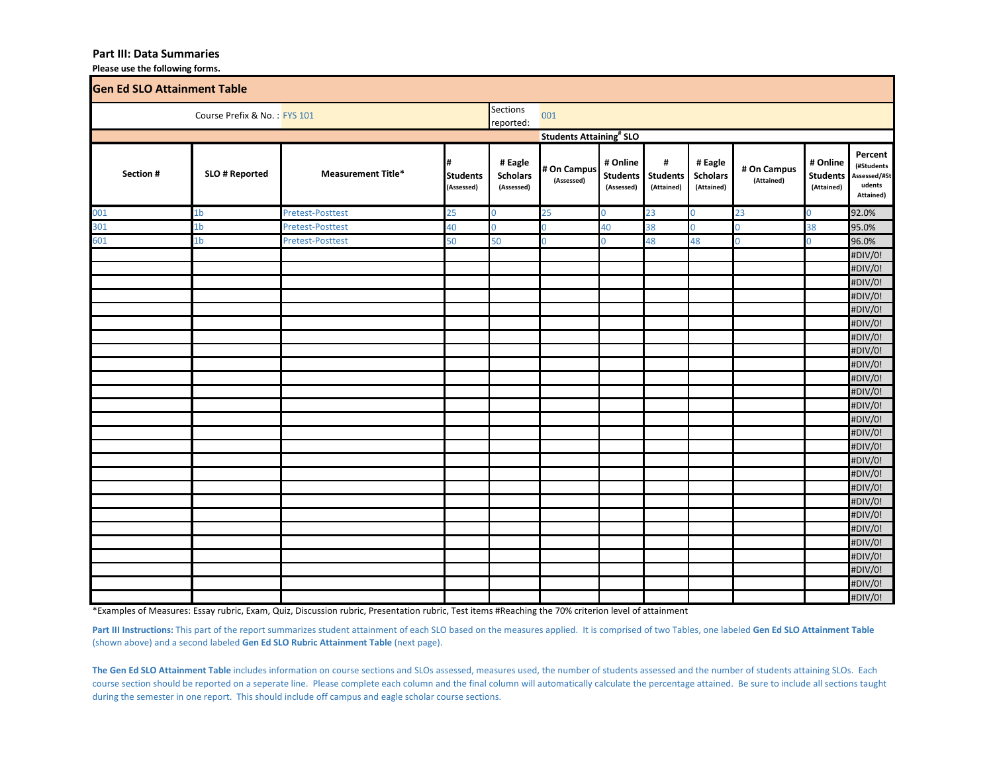## **Part III: Data Summaries**

**Please use the following forms.**

| <b>Gen Ed SLO Attainment Table</b> |                |                           |                                    |                                          |                                           |                                           |                                    |                                          |                           |                                           |                                                              |
|------------------------------------|----------------|---------------------------|------------------------------------|------------------------------------------|-------------------------------------------|-------------------------------------------|------------------------------------|------------------------------------------|---------------------------|-------------------------------------------|--------------------------------------------------------------|
| Course Prefix & No.: FYS 101       |                |                           |                                    | <b>Sections</b><br>reported:             | 001                                       |                                           |                                    |                                          |                           |                                           |                                                              |
|                                    |                |                           |                                    |                                          | <b>Students Attaining<sup>#</sup> SLO</b> |                                           |                                    |                                          |                           |                                           |                                                              |
| Section #                          | SLO # Reported | <b>Measurement Title*</b> | #<br><b>Students</b><br>(Assessed) | # Eagle<br><b>Scholars</b><br>(Assessed) | # On Campus<br>(Assessed)                 | # Online<br><b>Students</b><br>(Assessed) | #<br><b>Students</b><br>(Attained) | # Eagle<br><b>Scholars</b><br>(Attained) | # On Campus<br>(Attained) | # Online<br><b>Students</b><br>(Attained) | Percent<br>(#Students<br>Assessed/#St<br>udents<br>Attained) |
| 001                                | 1b             | <b>Pretest-Posttest</b>   | 25                                 | $\overline{0}$                           | 25                                        | $\mathbf 0$                               | 23                                 | $\mathbf 0$                              | 23                        | 0                                         | 92.0%                                                        |
| 301                                | 1b             | <b>Pretest-Posttest</b>   | 40                                 | $\overline{0}$                           | 0                                         | 40                                        | 38                                 | $\overline{0}$                           | $\mathbf 0$               | 38                                        | 95.0%                                                        |
| 601                                | 1b             | <b>Pretest-Posttest</b>   | 50                                 | 50                                       | $\overline{0}$                            | $\Omega$                                  | 48                                 | 48                                       | $\overline{0}$            | $\Omega$                                  | 96.0%                                                        |
|                                    |                |                           |                                    |                                          |                                           |                                           |                                    |                                          |                           |                                           | #DIV/0!                                                      |
|                                    |                |                           |                                    |                                          |                                           |                                           |                                    |                                          |                           |                                           | #DIV/0!                                                      |
|                                    |                |                           |                                    |                                          |                                           |                                           |                                    |                                          |                           |                                           | #DIV/0!                                                      |
|                                    |                |                           |                                    |                                          |                                           |                                           |                                    |                                          |                           |                                           | #DIV/0!                                                      |
|                                    |                |                           |                                    |                                          |                                           |                                           |                                    |                                          |                           |                                           | #DIV/0!                                                      |
|                                    |                |                           |                                    |                                          |                                           |                                           |                                    |                                          |                           |                                           | #DIV/0!                                                      |
|                                    |                |                           |                                    |                                          |                                           |                                           |                                    |                                          |                           |                                           | #DIV/0!                                                      |
|                                    |                |                           |                                    |                                          |                                           |                                           |                                    |                                          |                           |                                           | #DIV/0!                                                      |
|                                    |                |                           |                                    |                                          |                                           |                                           |                                    |                                          |                           |                                           | #DIV/0!                                                      |
|                                    |                |                           |                                    |                                          |                                           |                                           |                                    |                                          |                           |                                           | #DIV/0!                                                      |
|                                    |                |                           |                                    |                                          |                                           |                                           |                                    |                                          |                           |                                           | #DIV/0!                                                      |
|                                    |                |                           |                                    |                                          |                                           |                                           |                                    |                                          |                           |                                           | #DIV/0!                                                      |
|                                    |                |                           |                                    |                                          |                                           |                                           |                                    |                                          |                           |                                           | #DIV/0!                                                      |
|                                    |                |                           |                                    |                                          |                                           |                                           |                                    |                                          |                           |                                           | #DIV/0!                                                      |
|                                    |                |                           |                                    |                                          |                                           |                                           |                                    |                                          |                           |                                           | #DIV/0!                                                      |
|                                    |                |                           |                                    |                                          |                                           |                                           |                                    |                                          |                           |                                           | #DIV/0!                                                      |
|                                    |                |                           |                                    |                                          |                                           |                                           |                                    |                                          |                           |                                           | #DIV/0!                                                      |
|                                    |                |                           |                                    |                                          |                                           |                                           |                                    |                                          |                           |                                           | #DIV/0!                                                      |
|                                    |                |                           |                                    |                                          |                                           |                                           |                                    |                                          |                           |                                           | #DIV/0!                                                      |
|                                    |                |                           |                                    |                                          |                                           |                                           |                                    |                                          |                           |                                           | #DIV/0!                                                      |
|                                    |                |                           |                                    |                                          |                                           |                                           |                                    |                                          |                           |                                           | #DIV/0!                                                      |
|                                    |                |                           |                                    |                                          |                                           |                                           |                                    |                                          |                           |                                           | #DIV/0!                                                      |
|                                    |                |                           |                                    |                                          |                                           |                                           |                                    |                                          |                           |                                           | #DIV/0!                                                      |
|                                    |                |                           |                                    |                                          |                                           |                                           |                                    |                                          |                           |                                           | #DIV/0!                                                      |
|                                    |                |                           |                                    |                                          |                                           |                                           |                                    |                                          |                           |                                           | #DIV/0!                                                      |
|                                    |                |                           |                                    |                                          |                                           |                                           |                                    |                                          |                           |                                           | #DIV/0!                                                      |

\*Examples of Measures: Essay rubric, Exam, Quiz, Discussion rubric, Presentation rubric, Test items #Reaching the 70% criterion level of attainment

Part III Instructions: This part of the report summarizes student attainment of each SLO based on the measures applied. It is comprised of two Tables, one labeled Gen Ed SLO Attainment Table (shown above) and a second labeled **Gen Ed SLO Rubric Attainment Table** (next page).

**The Gen Ed SLO Attainment Table** includes information on course sections and SLOs assessed, measures used, the number of students assessed and the number of students attaining SLOs. Each course section should be reported on a seperate line. Please complete each column and the final column will automatically calculate the percentage attained. Be sure to include all sections taught during the semester in one report. This should include off campus and eagle scholar course sections.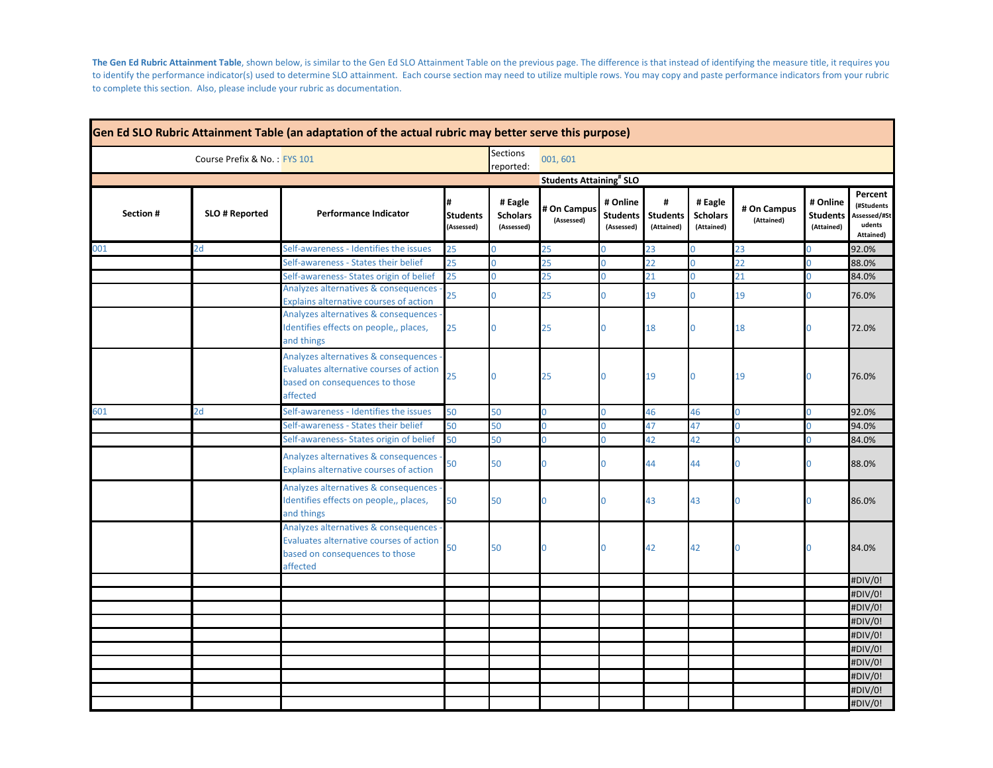**The Gen Ed Rubric Attainment Table**, shown below, is similar to the Gen Ed SLO Attainment Table on the previous page. The difference is that instead of identifying the measure title, it requires you to identify the performance indicator(s) used to determine SLO attainment. Each course section may need to utilize multiple rows. You may copy and paste performance indicators from your rubric to complete this section. Also, please include your rubric as documentation.

| Gen Ed SLO Rubric Attainment Table (an adaptation of the actual rubric may better serve this purpose) |                |                                                                                                                                 |                                    |                                          |                                           |                                           |                                    |                                          |                           |                                           |                                                              |
|-------------------------------------------------------------------------------------------------------|----------------|---------------------------------------------------------------------------------------------------------------------------------|------------------------------------|------------------------------------------|-------------------------------------------|-------------------------------------------|------------------------------------|------------------------------------------|---------------------------|-------------------------------------------|--------------------------------------------------------------|
| Course Prefix & No.: FYS 101                                                                          |                |                                                                                                                                 |                                    | <b>Sections</b><br>reported:             | 001,601                                   |                                           |                                    |                                          |                           |                                           |                                                              |
|                                                                                                       |                |                                                                                                                                 |                                    |                                          | <b>Students Attaining<sup>#</sup> SLO</b> |                                           |                                    |                                          |                           |                                           |                                                              |
| Section #                                                                                             | SLO # Reported | <b>Performance Indicator</b>                                                                                                    | #<br><b>Students</b><br>(Assessed) | # Eagle<br><b>Scholars</b><br>(Assessed) | # On Campus<br>(Assessed)                 | # Online<br><b>Students</b><br>(Assessed) | #<br><b>Students</b><br>(Attained) | # Eagle<br><b>Scholars</b><br>(Attained) | # On Campus<br>(Attained) | # Online<br><b>Students</b><br>(Attained) | Percent<br>(#Students<br>Assessed/#St<br>udents<br>Attained) |
| 001                                                                                                   | 2d             | Self-awareness - Identifies the issues                                                                                          | 25                                 | U                                        | 25                                        |                                           | 23                                 | 0                                        | 23                        | Ò                                         | 92.0%                                                        |
|                                                                                                       |                | Self-awareness - States their belief                                                                                            | 25                                 | $\overline{0}$                           | 25                                        | $\Omega$                                  | 22                                 | $\overline{0}$                           | 22                        | O                                         | 88.0%                                                        |
|                                                                                                       |                | Self-awareness- States origin of belief                                                                                         | 25                                 | Ō                                        | 25                                        | $\Omega$                                  | 21                                 | 0                                        | 21                        | Ō                                         | 84.0%                                                        |
|                                                                                                       |                | Analyzes alternatives & consequences<br>Explains alternative courses of action                                                  | 25                                 | $\overline{0}$                           | 25                                        | $\Omega$                                  | 19                                 | 0                                        | 19                        | O                                         | 76.0%                                                        |
|                                                                                                       |                | Analyzes alternatives & consequences<br>Identifies effects on people,, places,<br>and things                                    | 25                                 | 0                                        | 25                                        | $\Omega$                                  | 18                                 | 0                                        | 18                        |                                           | 72.0%                                                        |
|                                                                                                       |                | Analyzes alternatives & consequences -<br>Evaluates alternative courses of action<br>based on consequences to those<br>affected | 25                                 | 0                                        | 25                                        | $\Omega$                                  | 19                                 | $\Omega$                                 | 19                        |                                           | 76.0%                                                        |
| 601                                                                                                   | 2d             | Self-awareness - Identifies the issues                                                                                          | 50                                 | 50                                       | $\overline{0}$                            | $\Omega$                                  | 46                                 | 46                                       | $\overline{0}$            | n                                         | 92.0%                                                        |
|                                                                                                       |                | Self-awareness - States their belief                                                                                            | 50                                 | 50                                       | O                                         |                                           | 47                                 | 47                                       | $\overline{0}$            | n                                         | 94.0%                                                        |
|                                                                                                       |                | Self-awareness- States origin of belief                                                                                         | 50                                 | 50                                       | $\overline{0}$                            |                                           | 42                                 | 42                                       | $\overline{0}$            |                                           | 84.0%                                                        |
|                                                                                                       |                | Analyzes alternatives & consequences<br>Explains alternative courses of action                                                  | 50                                 | 50                                       | O                                         | ი                                         | 44                                 | 44                                       | $\Omega$                  |                                           | 88.0%                                                        |
|                                                                                                       |                | Analyzes alternatives & consequences<br>Identifies effects on people,, places,<br>and things                                    | 50                                 | 50                                       | $\Omega$                                  | $\Omega$                                  | 43                                 | 43                                       | $\Omega$                  |                                           | 86.0%                                                        |
|                                                                                                       |                | Analyzes alternatives & consequences<br>Evaluates alternative courses of action<br>based on consequences to those<br>affected   | 50                                 | 50                                       | N                                         | $\Omega$                                  | 42                                 | 42                                       |                           |                                           | 84.0%                                                        |
|                                                                                                       |                |                                                                                                                                 |                                    |                                          |                                           |                                           |                                    |                                          |                           |                                           | #DIV/0!                                                      |
|                                                                                                       |                |                                                                                                                                 |                                    |                                          |                                           |                                           |                                    |                                          |                           |                                           | #DIV/0!                                                      |
|                                                                                                       |                |                                                                                                                                 |                                    |                                          |                                           |                                           |                                    |                                          |                           |                                           | #DIV/0!                                                      |
|                                                                                                       |                |                                                                                                                                 |                                    |                                          |                                           |                                           |                                    |                                          |                           |                                           | #DIV/0!                                                      |
|                                                                                                       |                |                                                                                                                                 |                                    |                                          |                                           |                                           |                                    |                                          |                           |                                           | #DIV/0!                                                      |
|                                                                                                       |                |                                                                                                                                 |                                    |                                          |                                           |                                           |                                    |                                          |                           |                                           | #DIV/0!                                                      |
|                                                                                                       |                |                                                                                                                                 |                                    |                                          |                                           |                                           |                                    |                                          |                           |                                           | #DIV/0!                                                      |
|                                                                                                       |                |                                                                                                                                 |                                    |                                          |                                           |                                           |                                    |                                          |                           |                                           | #DIV/0!                                                      |
|                                                                                                       |                |                                                                                                                                 |                                    |                                          |                                           |                                           |                                    |                                          |                           |                                           | #DIV/0!                                                      |
|                                                                                                       |                |                                                                                                                                 |                                    |                                          |                                           |                                           |                                    |                                          |                           |                                           | #DIV/0!                                                      |